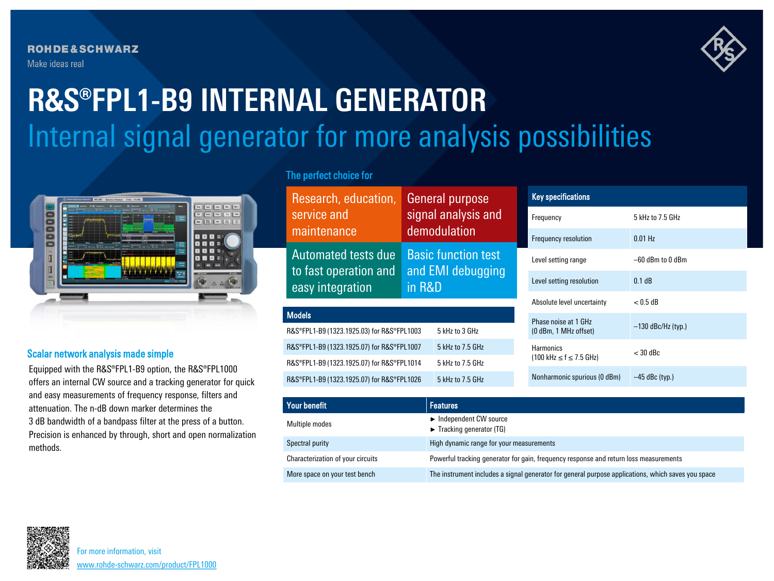**ROHDE&SCHWARZ** Make ideas real



# Internal signal generator for more analysis possibilities **R&S®FPL1-B9 INTERNAL GENERATOR**



# Scalar network analysis made simple

Equipped with the R&S®FPL1-B9 option, the R&S®FPL1000 offers an internal CW source and a tracking generator for quick and easy measurements of frequency response, filters and attenuation. The n-dB down marker determines the 3 dB bandwidth of a bandpass filter at the press of a button. Precision is enhanced by through, short and open normalization methods.

# The perfect choice for

| Research, education,                                             |                     | <b>General purpose</b>                                    |                                                 | <b>Key specifications</b>                     |                      |
|------------------------------------------------------------------|---------------------|-----------------------------------------------------------|-------------------------------------------------|-----------------------------------------------|----------------------|
| service and                                                      | signal analysis and |                                                           |                                                 | Frequency                                     | 5 kHz to 7.5 GHz     |
| maintenance                                                      |                     | demodulation                                              |                                                 | Frequency resolution                          | $0.01$ Hz            |
| Automated tests due<br>to fast operation and<br>easy integration |                     | <b>Basic function test</b><br>and EMI debugging<br>in R&D |                                                 | Level setting range                           | $-60$ dBm to 0 dBm   |
|                                                                  |                     |                                                           |                                                 | Level setting resolution                      | 0.1 dB               |
|                                                                  |                     |                                                           |                                                 | Absolute level uncertainty                    | $< 0.5$ dB           |
| <b>Models</b>                                                    |                     |                                                           |                                                 | Phase noise at 1 GHz<br>(0 dBm, 1 MHz offset) | $-130$ dBc/Hz (typ.) |
| R&S®FPL1-B9 (1323.1925.03) for R&S®FPL1003<br>5 kHz to 3 GHz     |                     |                                                           |                                                 |                                               |                      |
| 5 kHz to 7.5 GHz<br>R&S®FPL1-B9 (1323.1925.07) for R&S®FPL1007   |                     | <b>Harmonics</b>                                          | $<$ 30 dBc                                      |                                               |                      |
| R&S®FPL1-B9 (1323.1925.07) for R&S®FPL1014<br>5 kHz to 7.5 GHz   |                     |                                                           | $(100 \text{ kHz} \leq f \leq 7.5 \text{ GHz})$ |                                               |                      |
| R&S®FPL1-B9 (1323.1925.07) for R&S®FPL1026<br>5 kHz to 7.5 GHz   |                     |                                                           |                                                 | Nonharmonic spurious (0 dBm)                  | $-45$ dBc (typ.)     |
|                                                                  |                     |                                                           |                                                 |                                               |                      |
| <b>Your benefit</b>                                              |                     | <b>Features</b>                                           |                                                 |                                               |                      |

| Your benefit                      | <b>Features</b>                                                                                    |
|-----------------------------------|----------------------------------------------------------------------------------------------------|
| Multiple modes                    | Independent CW source<br>$\blacktriangleright$ Tracking generator (TG)                             |
| Spectral purity                   | High dynamic range for your measurements                                                           |
| Characterization of your circuits | Powerful tracking generator for gain, frequency response and return loss measurements              |
| More space on your test bench     | The instrument includes a signal generator for general purpose applications, which saves you space |